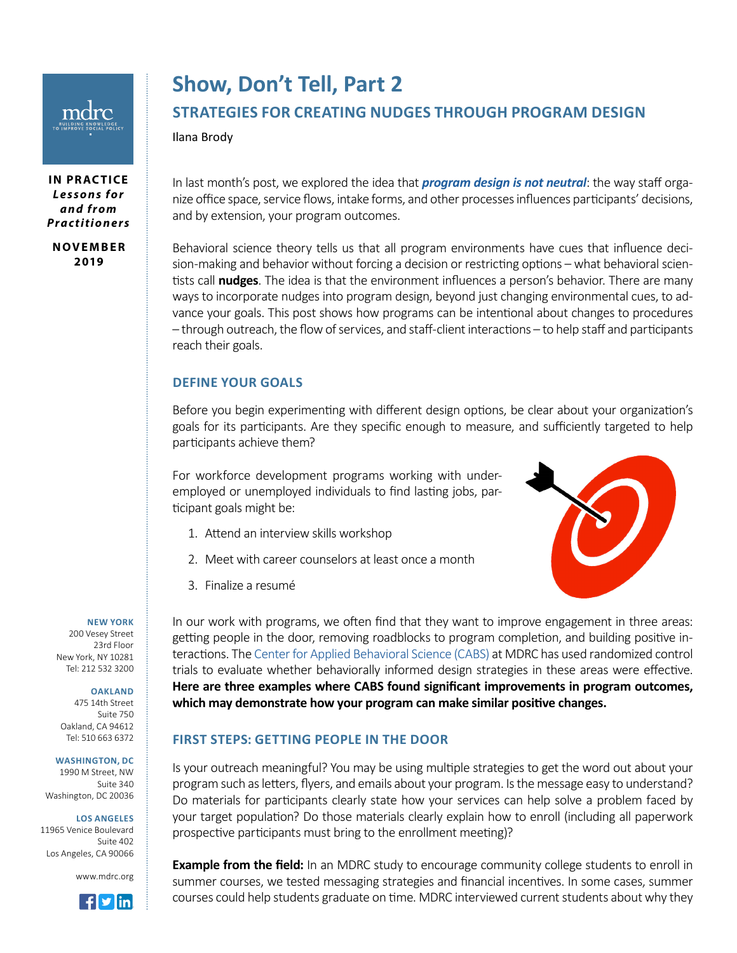# **Show, Don't Tell, Part 2**

## **STRATEGIES FOR CREATING NUDGES THROUGH PROGRAM DESIGN**

Ilana Brody

**IN PRACTICE** *L e s s o n s f o r a n d f r o m Practitioners*

**N OV E M B E R 2019**

In last month's post, we explored the idea that *[program design is not neutral](https://www.mdrc.org/publication/show-don-t-tell)*: the way staff organize office space, service flows, intake forms, and other processes influences participants' decisions, and by extension, your program outcomes.

Behavioral science theory tells us that all program environments have cues that influence decision-making and behavior without forcing a decision or restricting options – what behavioral scientists call **nudges**. The idea is that the environment influences a person's behavior. There are many ways to incorporate nudges into program design, beyond just changing environmental cues, to advance your goals. This post shows how programs can be intentional about changes to procedures – through outreach, the flow of services, and staff-client interactions – to help staff and participants reach their goals.

#### **DEFINE YOUR GOALS**

Before you begin experimenting with different design options, be clear about your organization's goals for its participants. Are they specific enough to measure, and sufficiently targeted to help participants achieve them?

For workforce development programs working with underemployed or unemployed individuals to find lasting jobs, participant goals might be:

- 1. Attend an interview skills workshop
- 2. Meet with career counselors at least once a month
- 3. Finalize a resumé



#### **NEW YORK**

200 Vesey Street 23rd Floor New York, NY 10281 Tel: 212 532 3200

#### **OAKLAND**

475 14th Street Suite 750 Oakland, CA 94612 Tel: 510 663 6372

**WASHINGTON, DC**

1990 M Street, NW Suite 340 Washington, DC 20036

**LOS ANGELES** 11965 Venice Boulevard Suite 402 Los Angeles, CA 90066

www.mdrc.org



In our work with programs, we often find that they want to improve engagement in three areas: getting people in the door, removing roadblocks to program completion, and building positive interactions. The [Center for Applied Behavioral Science \(CABS\)](https://www.mdrc.org/project/center-applied-behavioral-science-cabs#overview) at MDRC has used randomized control trials to evaluate whether behaviorally informed design strategies in these areas were effective. **Here are three examples where CABS found significant improvements in program outcomes, which may demonstrate how your program can make similar positive changes.**

#### **FIRST STEPS: GETTING PEOPLE IN THE DOOR**

Is your outreach meaningful? You may be using multiple strategies to get the word out about your program such as letters, flyers, and emails about your program. Is the message easy to understand? Do materials for participants clearly state how your services can help solve a problem faced by your target population? Do those materials clearly explain how to enroll (including all paperwork prospective participants must bring to the enrollment meeting)?

**Example from the field:** In an MDRC study to encourage community college students to enroll in summer courses, we tested messaging strategies and financial incentives. In some cases, summer courses could help students graduate on time. MDRC interviewed current students about why they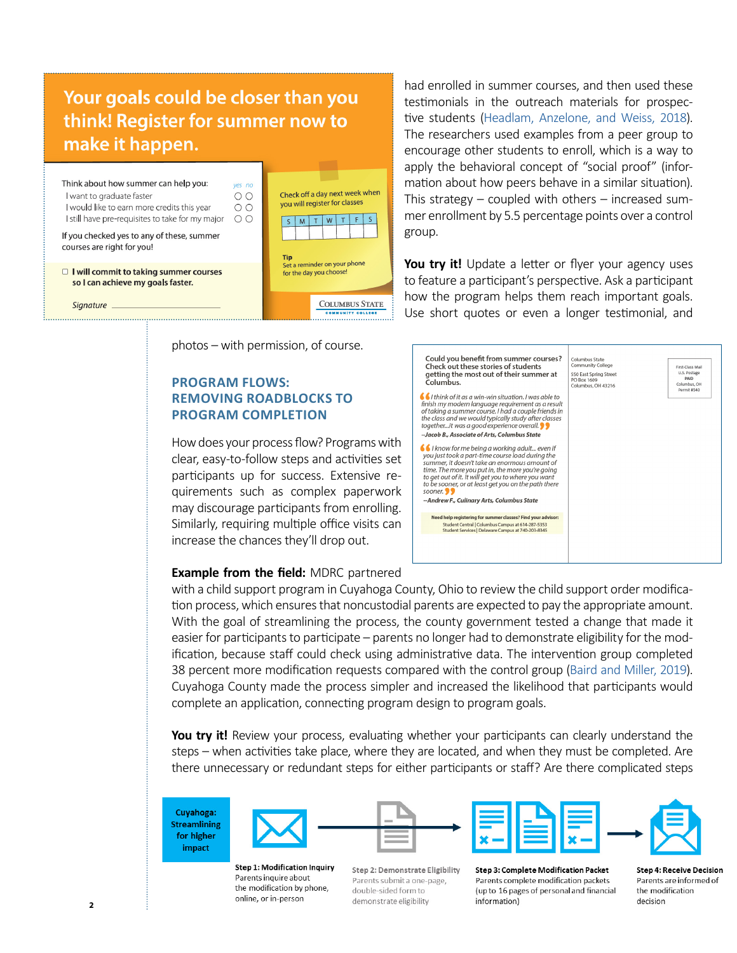## Your goals could be closer than you think! Register for summer now to make it happen.



photos – with permission, of course.

#### **PROGRAM FLOWS: REMOVING ROADBLOCKS TO PROGRAM COMPLETION**

How does your process flow? Programs with clear, easy-to-follow steps and activities set participants up for success. Extensive requirements such as complex paperwork may discourage participants from enrolling. Similarly, requiring multiple office visits can increase the chances they'll drop out.

#### **Example from the field:** MDRC partnered

had enrolled in summer courses, and then used these testimonials in the outreach materials for prospective students [\(Headlam, Anzelone, and Weiss, 2018](https://www.mdrc.org/sites/default/files/EASE_Phase_1_Brief_Final_Web.pdf)). The researchers used examples from a peer group to encourage other students to enroll, which is a way to apply the behavioral concept of "social proof" (information about how peers behave in a similar situation). This strategy – coupled with others – increased summer enrollment by 5.5 percentage points over a control group.

You try it! Update a letter or flyer your agency uses to feature a participant's perspective. Ask a participant how the program helps them reach important goals. Use short quotes or even a longer testimonial, and



with a child support program in Cuyahoga County, Ohio to review the child support order modification process, which ensures that noncustodial parents are expected to pay the appropriate amount. With the goal of streamlining the process, the county government tested a change that made it easier for participants to participate – parents no longer had to demonstrate eligibility for the modification, because staff could check using administrative data. The intervention group completed 38 percent more modification requests compared with the control group [\(Baird and Miller, 2019](https://www.mdrc.org/sites/default/files/BICS_Ohio_Brief.pdf)). Cuyahoga County made the process simpler and increased the likelihood that participants would complete an application, connecting program design to program goals.

**You try it!** Review your process, evaluating whether your participants can clearly understand the steps – when activities take place, where they are located, and when they must be completed. Are there unnecessary or redundant steps for either participants or staff? Are there complicated steps

Cuyahoga: **Streamlining** for higher impact





**Step 1: Modification Inquiry** Parents inquire about the modification by phone, online, or in-person

**Step 2: Demonstrate Eligibility** Parents submit a one-page, double-sided form to demonstrate eligibility

**Step 3: Complete Modification Packet** Parents complete modification packets (up to 16 pages of personal and financial information)